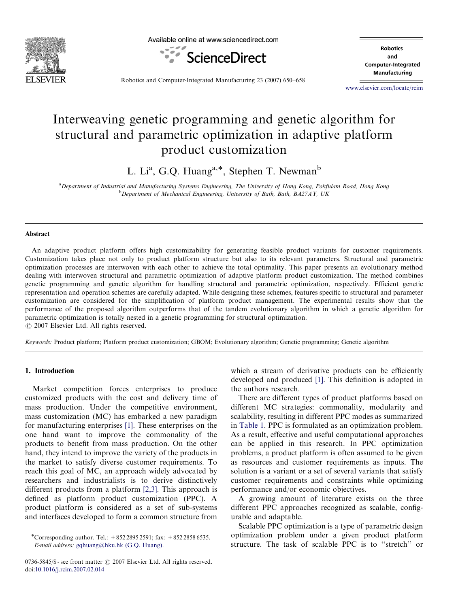

Available online at www.sciencedirect.com



**Robotics** and Computer-Integrated Manufacturing

Robotics and Computer-Integrated Manufacturing 23 (2007) 650–658

<www.elsevier.com/locate/rcim>

## Interweaving genetic programming and genetic algorithm for structural and parametric optimization in adaptive platform product customization

L. Li<sup>a</sup>, G.Q. Huang<sup>a,\*</sup>, Stephen T. Newman<sup>b</sup>

a<br>Department of Industrial and Manufacturing Systems Engineering, The University of Hong Kong, Pokfulam Road, Hong Kong <sup>b</sup>Department of Mechanical Engineering, University of Bath, Bath, BA27AY, UK

#### Abstract

An adaptive product platform offers high customizability for generating feasible product variants for customer requirements. Customization takes place not only to product platform structure but also to its relevant parameters. Structural and parametric optimization processes are interwoven with each other to achieve the total optimality. This paper presents an evolutionary method dealing with interwoven structural and parametric optimization of adaptive platform product customization. The method combines genetic programming and genetic algorithm for handling structural and parametric optimization, respectively. Efficient genetic representation and operation schemes are carefully adapted. While designing these schemes, features specific to structural and parameter customization are considered for the simplification of platform product management. The experimental results show that the performance of the proposed algorithm outperforms that of the tandem evolutionary algorithm in which a genetic algorithm for parametric optimization is totally nested in a genetic programming for structural optimization.  $O$  2007 Elsevier Ltd. All rights reserved.

Keywords: Product platform; Platform product customization; GBOM; Evolutionary algorithm; Genetic programming; Genetic algorithm

### 1. Introduction

Market competition forces enterprises to produce customized products with the cost and delivery time of mass production. Under the competitive environment, mass customization (MC) has embarked a new paradigm for manufacturing enterprises [\[1\].](#page--1-0) These enterprises on the one hand want to improve the commonality of the products to benefit from mass production. On the other hand, they intend to improve the variety of the products in the market to satisfy diverse customer requirements. To reach this goal of MC, an approach widely advocated by researchers and industrialists is to derive distinctively different products from a platform [\[2,3\]](#page--1-0). This approach is defined as platform product customization (PPC). A product platform is considered as a set of sub-systems and interfaces developed to form a common structure from

0736-5845/\$ - see front matter  $\odot$  2007 Elsevier Ltd. All rights reserved. doi:[10.1016/j.rcim.2007.02.014](dx.doi.org/10.1016/j.rcim.2007.02.014)

which a stream of derivative products can be efficiently developed and produced [\[1\]](#page--1-0). This definition is adopted in the authors research.

There are different types of product platforms based on different MC strategies: commonality, modularity and scalability, resulting in different PPC modes as summarized in [Table 1.](#page-1-0) PPC is formulated as an optimization problem. As a result, effective and useful computational approaches can be applied in this research. In PPC optimization problems, a product platform is often assumed to be given as resources and customer requirements as inputs. The solution is a variant or a set of several variants that satisfy customer requirements and constraints while optimizing performance and/or economic objectives.

A growing amount of literature exists on the three different PPC approaches recognized as scalable, configurable and adaptable.

Scalable PPC optimization is a type of parametric design optimization problem under a given product platform structure. The task of scalable PPC is to ''stretch'' or

<sup>-</sup>Corresponding author. Tel.: +852 2895 2591; fax: +852 2858 6535. E-mail address: [gqhuang@hku.hk \(G.Q. Huang\).](mailto:gqhuang@hku.hk)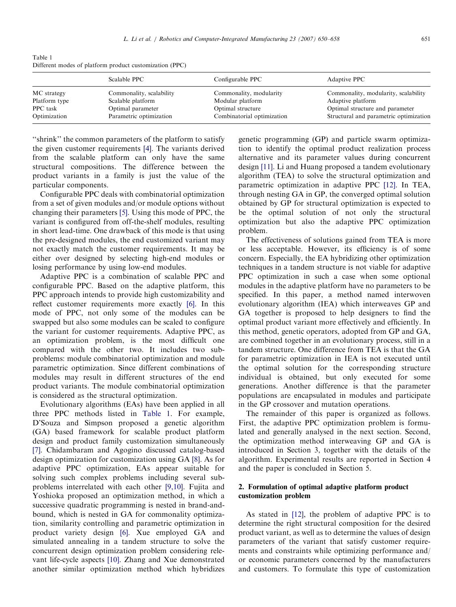<span id="page-1-0"></span>Table 1 Different modes of platform product customization (PPC)

|                              | Scalable PPC                                  | Configurable PPC                            | Adaptive PPC                                              |
|------------------------------|-----------------------------------------------|---------------------------------------------|-----------------------------------------------------------|
| MC strategy<br>Platform type | Commonality, scalability<br>Scalable platform | Commonality, modularity<br>Modular platform | Commonality, modularity, scalability<br>Adaptive platform |
| PPC task                     | Optimal parameter                             | Optimal structure                           | Optimal structure and parameter                           |
| Optimization                 | Parametric optimization                       | Combinatorial optimization                  | Structural and parametric optimization                    |

''shrink'' the common parameters of the platform to satisfy the given customer requirements [\[4\].](#page--1-0) The variants derived from the scalable platform can only have the same structural compositions. The difference between the product variants in a family is just the value of the particular components.

Configurable PPC deals with combinatorial optimization from a set of given modules and/or module options without changing their parameters [\[5\].](#page--1-0) Using this mode of PPC, the variant is configured from off-the-shelf modules, resulting in short lead-time. One drawback of this mode is that using the pre-designed modules, the end customized variant may not exactly match the customer requirements. It may be either over designed by selecting high-end modules or losing performance by using low-end modules.

Adaptive PPC is a combination of scalable PPC and configurable PPC. Based on the adaptive platform, this PPC approach intends to provide high customizability and reflect customer requirements more exactly [\[6\]](#page--1-0). In this mode of PPC, not only some of the modules can be swapped but also some modules can be scaled to configure the variant for customer requirements. Adaptive PPC, as an optimization problem, is the most difficult one compared with the other two. It includes two subproblems: module combinatorial optimization and module parametric optimization. Since different combinations of modules may result in different structures of the end product variants. The module combinatorial optimization is considered as the structural optimization.

Evolutionary algorithms (EAs) have been applied in all three PPC methods listed in Table 1. For example, D'Souza and Simpson proposed a genetic algorithm (GA) based framework for scalable product platform design and product family customization simultaneously [\[7\].](#page--1-0) Chidambaram and Agogino discussed catalog-based design optimization for customization using GA [\[8\]](#page--1-0). As for adaptive PPC optimization, EAs appear suitable for solving such complex problems including several subproblems interrelated with each other [\[9,10\]](#page--1-0). Fujita and Yoshioka proposed an optimization method, in which a successive quadratic programming is nested in brand-andbound, which is nested in GA for commonality optimization, similarity controlling and parametric optimization in product variety design [\[6\]](#page--1-0). Xue employed GA and simulated annealing in a tandem structure to solve the concurrent design optimization problem considering relevant life-cycle aspects [\[10\].](#page--1-0) Zhang and Xue demonstrated another similar optimization method which hybridizes genetic programming (GP) and particle swarm optimization to identify the optimal product realization process alternative and its parameter values during concurrent design [\[11\]](#page--1-0). Li and Huang proposed a tandem evolutionary algorithm (TEA) to solve the structural optimization and parametric optimization in adaptive PPC [\[12\].](#page--1-0) In TEA, through nesting GA in GP, the converged optimal solution obtained by GP for structural optimization is expected to be the optimal solution of not only the structural optimization but also the adaptive PPC optimization problem.

The effectiveness of solutions gained from TEA is more or less acceptable. However, its efficiency is of some concern. Especially, the EA hybridizing other optimization techniques in a tandem structure is not viable for adaptive PPC optimization in such a case when some optional modules in the adaptive platform have no parameters to be specified. In this paper, a method named interwoven evolutionary algorithm (IEA) which interweaves GP and GA together is proposed to help designers to find the optimal product variant more effectively and efficiently. In this method, genetic operators, adopted from GP and GA, are combined together in an evolutionary process, still in a tandem structure. One difference from TEA is that the GA for parametric optimization in IEA is not executed until the optimal solution for the corresponding structure individual is obtained, but only executed for some generations. Another difference is that the parameter populations are encapsulated in modules and participate in the GP crossover and mutation operations.

The remainder of this paper is organized as follows. First, the adaptive PPC optimization problem is formulated and generally analysed in the next section. Second, the optimization method interweaving GP and GA is introduced in Section 3, together with the details of the algorithm. Experimental results are reported in Section 4 and the paper is concluded in Section 5.

### 2. Formulation of optimal adaptive platform product customization problem

As stated in [\[12\],](#page--1-0) the problem of adaptive PPC is to determine the right structural composition for the desired product variant, as well as to determine the values of design parameters of the variant that satisfy customer requirements and constraints while optimizing performance and/ or economic parameters concerned by the manufacturers and customers. To formulate this type of customization